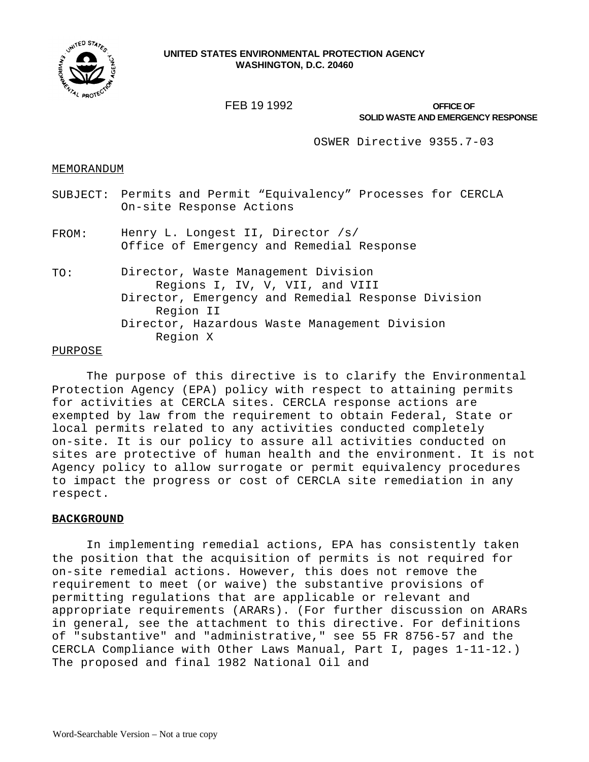

# **UNITED STATES ENVIRONMENTAL PROTECTION AGENCY WASHINGTON, D.C. 20460**

FEB 19 1992

**SOLID WASTE AND EMERGENCY RESPONSE OFFICE OF** 

OSWER Directive 9355.7-03

## MEMORANDUM

- SUBJECT: Permits and Permit "Equivalency" Processes for CERCLA On-site Response Actions
- FROM: Henry L. Longest II, Director /s/ Office of Emergency and Remedial Response
- TO: Director, Waste Management Division Regions I, IV, V, VII, and VIII Director, Emergency and Remedial Response Division Region II Director, Hazardous Waste Management Division Region X

## PURPOSE

The purpose of this directive is to clarify the Environmental Protection Agency (EPA) policy with respect to attaining permits for activities at CERCLA sites. CERCLA response actions are exempted by law from the requirement to obtain Federal, State or local permits related to any activities conducted completely on-site. It is our policy to assure all activities conducted on sites are protective of human health and the environment. It is not Agency policy to allow surrogate or permit equivalency procedures to impact the progress or cost of CERCLA site remediation in any respect.

## **BACKGROUND**

In implementing remedial actions, EPA has consistently taken the position that the acquisition of permits is not required for on-site remedial actions. However, this does not remove the requirement to meet (or waive) the substantive provisions of permitting regulations that are applicable or relevant and appropriate requirements (ARARs). (For further discussion on ARARs in general, see the attachment to this directive. For definitions of "substantive" and "administrative," see 55 FR 8756-57 and the CERCLA Compliance with Other Laws Manual, Part I, pages 1-11-12.) The proposed and final 1982 National Oil and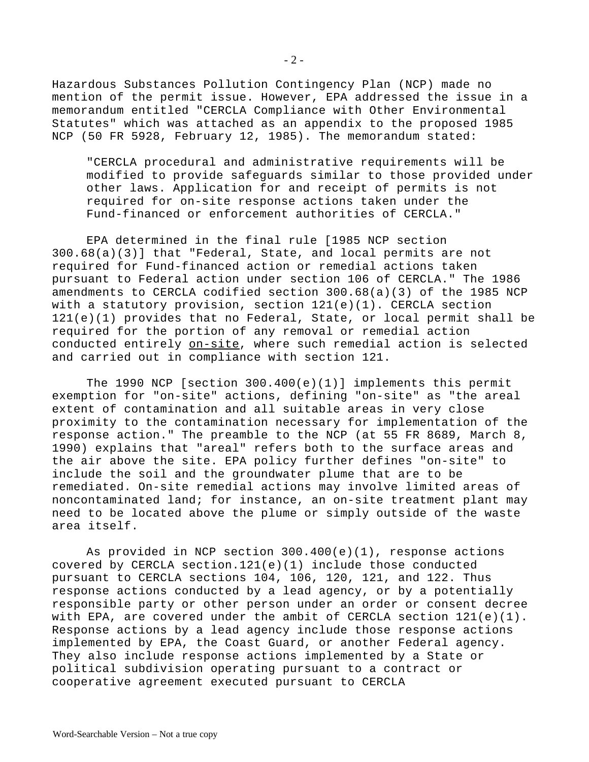Hazardous Substances Pollution Contingency Plan (NCP) made no mention of the permit issue. However, EPA addressed the issue in a memorandum entitled "CERCLA Compliance with Other Environmental Statutes" which was attached as an appendix to the proposed 1985 NCP (50 FR 5928, February 12, 1985). The memorandum stated:

"CERCLA procedural and administrative requirements will be modified to provide safeguards similar to those provided under other laws. Application for and receipt of permits is not required for on-site response actions taken under the Fund-financed or enforcement authorities of CERCLA."

EPA determined in the final rule [1985 NCP section 300.68(a)(3)] that "Federal, State, and local permits are not required for Fund-financed action or remedial actions taken pursuant to Federal action under section 106 of CERCLA." The 1986 amendments to CERCLA codified section 300.68(a)(3) of the 1985 NCP with a statutory provision, section 121(e)(1). CERCLA section 121(e)(1) provides that no Federal, State, or local permit shall be required for the portion of any removal or remedial action conducted entirely on-site, where such remedial action is selected and carried out in compliance with section 121.

The 1990 NCP [section 300.400(e)(1)] implements this permit exemption for "on-site" actions, defining "on-site" as "the areal extent of contamination and all suitable areas in very close proximity to the contamination necessary for implementation of the response action." The preamble to the NCP (at 55 FR 8689, March 8, 1990) explains that "areal" refers both to the surface areas and the air above the site. EPA policy further defines "on-site" to include the soil and the groundwater plume that are to be remediated. On-site remedial actions may involve limited areas of noncontaminated land; for instance, an on-site treatment plant may need to be located above the plume or simply outside of the waste area itself.

As provided in NCP section 300.400(e)(1), response actions covered by CERCLA section.121(e)(1) include those conducted pursuant to CERCLA sections 104, 106, 120, 121, and 122. Thus response actions conducted by a lead agency, or by a potentially responsible party or other person under an order or consent decree with EPA, are covered under the ambit of CERCLA section  $121(e)(1)$ . Response actions by a lead agency include those response actions implemented by EPA, the Coast Guard, or another Federal agency. They also include response actions implemented by a State or political subdivision operating pursuant to a contract or cooperative agreement executed pursuant to CERCLA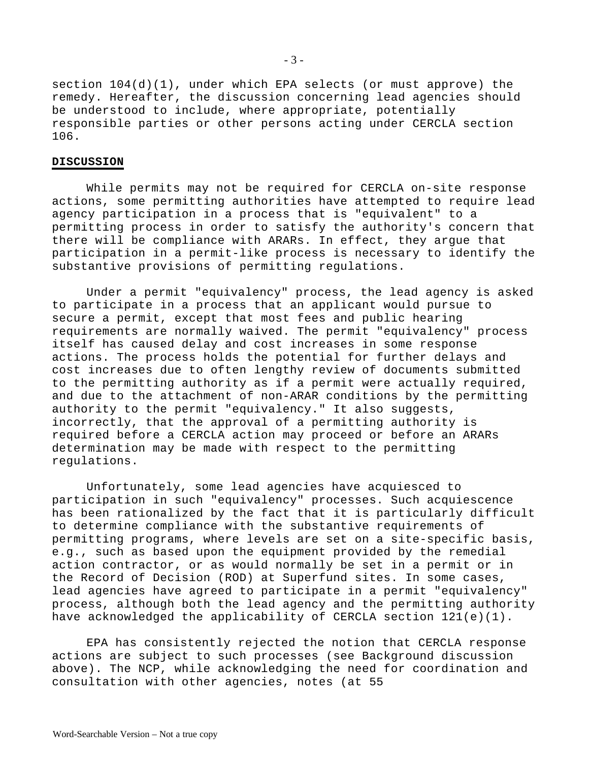section 104(d)(1), under which EPA selects (or must approve) the remedy. Hereafter, the discussion concerning lead agencies should be understood to include, where appropriate, potentially responsible parties or other persons acting under CERCLA section 106.

## **DISCUSSION**

While permits may not be required for CERCLA on-site response actions, some permitting authorities have attempted to require lead agency participation in a process that is "equivalent" to a permitting process in order to satisfy the authority's concern that there will be compliance with ARARs. In effect, they argue that participation in a permit-like process is necessary to identify the substantive provisions of permitting regulations.

Under a permit "equivalency" process, the lead agency is asked to participate in a process that an applicant would pursue to secure a permit, except that most fees and public hearing requirements are normally waived. The permit "equivalency" process itself has caused delay and cost increases in some response actions. The process holds the potential for further delays and cost increases due to often lengthy review of documents submitted to the permitting authority as if a permit were actually required, and due to the attachment of non-ARAR conditions by the permitting authority to the permit "equivalency." It also suggests, incorrectly, that the approval of a permitting authority is required before a CERCLA action may proceed or before an ARARs determination may be made with respect to the permitting regulations.

Unfortunately, some lead agencies have acquiesced to participation in such "equivalency" processes. Such acquiescence has been rationalized by the fact that it is particularly difficult to determine compliance with the substantive requirements of permitting programs, where levels are set on a site-specific basis, e.g., such as based upon the equipment provided by the remedial action contractor, or as would normally be set in a permit or in the Record of Decision (ROD) at Superfund sites. In some cases, lead agencies have agreed to participate in a permit "equivalency" process, although both the lead agency and the permitting authority have acknowledged the applicability of CERCLA section 121(e)(1).

EPA has consistently rejected the notion that CERCLA response actions are subject to such processes (see Background discussion above). The NCP, while acknowledging the need for coordination and consultation with other agencies, notes (at 55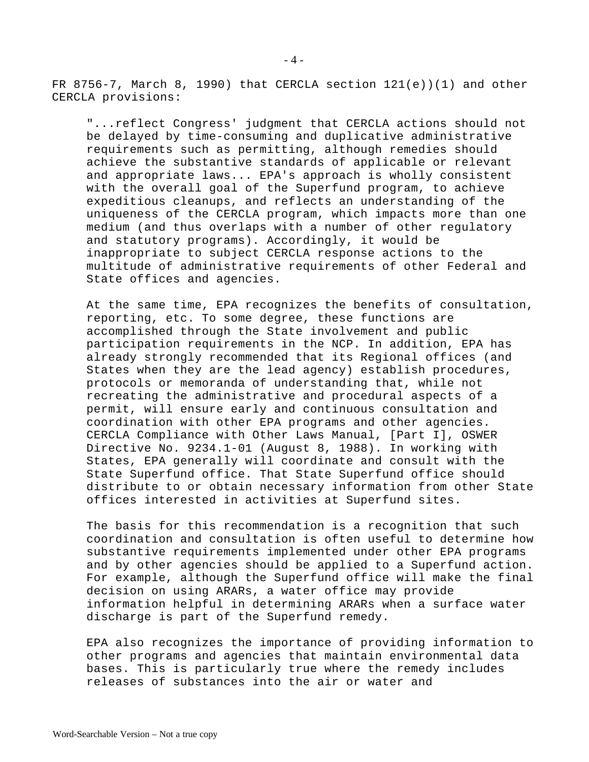FR 8756-7, March 8, 1990) that CERCLA section  $121(e)$  (1) and other CERCLA provisions:

"...reflect Congress' judgment that CERCLA actions should not be delayed by time-consuming and duplicative administrative requirements such as permitting, although remedies should achieve the substantive standards of applicable or relevant and appropriate laws... EPA's approach is wholly consistent with the overall goal of the Superfund program, to achieve expeditious cleanups, and reflects an understanding of the uniqueness of the CERCLA program, which impacts more than one medium (and thus overlaps with a number of other regulatory and statutory programs). Accordingly, it would be inappropriate to subject CERCLA response actions to the multitude of administrative requirements of other Federal and State offices and agencies.

At the same time, EPA recognizes the benefits of consultation, reporting, etc. To some degree, these functions are accomplished through the State involvement and public participation requirements in the NCP. In addition, EPA has already strongly recommended that its Regional offices (and States when they are the lead agency) establish procedures, protocols or memoranda of understanding that, while not recreating the administrative and procedural aspects of a permit, will ensure early and continuous consultation and coordination with other EPA programs and other agencies. CERCLA Compliance with Other Laws Manual, [Part I], OSWER Directive No. 9234.1-01 (August 8, 1988). In working with States, EPA generally will coordinate and consult with the State Superfund office. That State Superfund office should distribute to or obtain necessary information from other State offices interested in activities at Superfund sites.

The basis for this recommendation is a recognition that such coordination and consultation is often useful to determine how substantive requirements implemented under other EPA programs and by other agencies should be applied to a Superfund action. For example, although the Superfund office will make the final decision on using ARARs, a water office may provide information helpful in determining ARARs when a surface water discharge is part of the Superfund remedy.

EPA also recognizes the importance of providing information to other programs and agencies that maintain environmental data bases. This is particularly true where the remedy includes releases of substances into the air or water and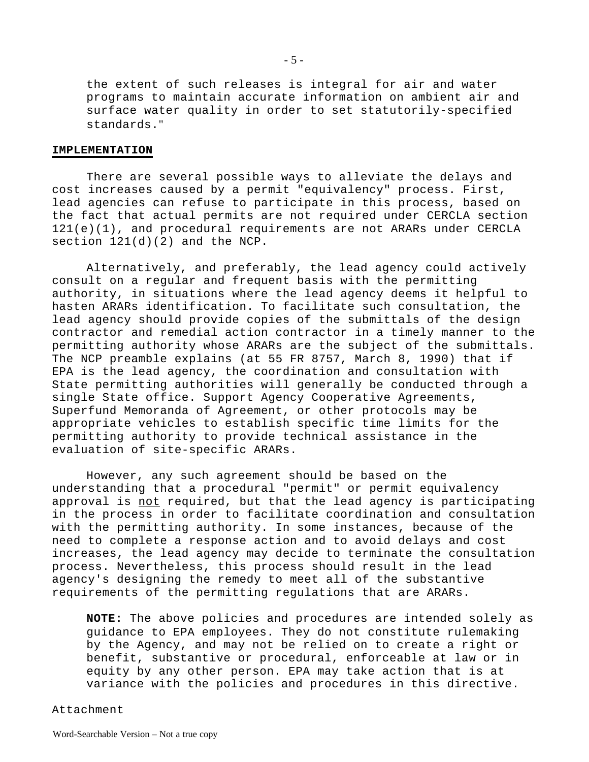the extent of such releases is integral for air and water programs to maintain accurate information on ambient air and surface water quality in order to set statutorily-specified standards."

#### **IMPLEMENTATION**

There are several possible ways to alleviate the delays and cost increases caused by a permit "equivalency" process. First, lead agencies can refuse to participate in this process, based on the fact that actual permits are not required under CERCLA section 121(e)(1), and procedural requirements are not ARARs under CERCLA section 121(d)(2) and the NCP.

Alternatively, and preferably, the lead agency could actively consult on a regular and frequent basis with the permitting authority, in situations where the lead agency deems it helpful to hasten ARARs identification. To facilitate such consultation, the lead agency should provide copies of the submittals of the design contractor and remedial action contractor in a timely manner to the permitting authority whose ARARs are the subject of the submittals. The NCP preamble explains (at 55 FR 8757, March 8, 1990) that if EPA is the lead agency, the coordination and consultation with State permitting authorities will generally be conducted through a single State office. Support Agency Cooperative Agreements, Superfund Memoranda of Agreement, or other protocols may be appropriate vehicles to establish specific time limits for the permitting authority to provide technical assistance in the evaluation of site-specific ARARs.

However, any such agreement should be based on the understanding that a procedural "permit" or permit equivalency approval is not required, but that the lead agency is participating in the process in order to facilitate coordination and consultation with the permitting authority. In some instances, because of the need to complete a response action and to avoid delays and cost increases, the lead agency may decide to terminate the consultation process. Nevertheless, this process should result in the lead agency's designing the remedy to meet all of the substantive requirements of the permitting regulations that are ARARs.

**NOTE:** The above policies and procedures are intended solely as guidance to EPA employees. They do not constitute rulemaking by the Agency, and may not be relied on to create a right or benefit, substantive or procedural, enforceable at law or in equity by any other person. EPA may take action that is at variance with the policies and procedures in this directive.

#### Attachment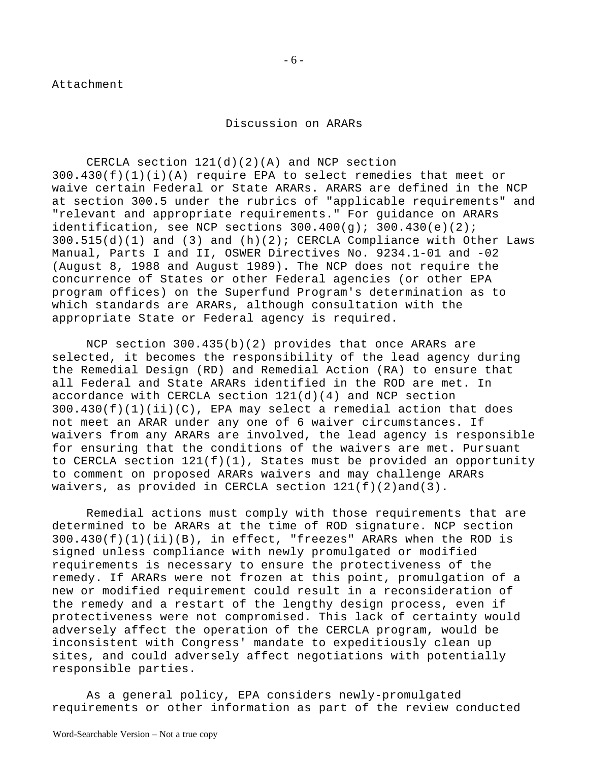Attachment

Discussion on ARARs

CERCLA section  $121(d)(2)(A)$  and NCP section 300.430(f)(1)(i)(A) require EPA to select remedies that meet or waive certain Federal or State ARARs. ARARS are defined in the NCP at section 300.5 under the rubrics of "applicable requirements" and "relevant and appropriate requirements." For guidance on ARARs identification, see NCP sections  $300.400(g)$ ;  $300.430(e)(2)$ ;  $300.515(d)(1)$  and  $(3)$  and  $(h)(2)$ ; CERCLA Compliance with Other Laws Manual, Parts I and II, OSWER Directives No. 9234.1-01 and -02 (August 8, 1988 and August 1989). The NCP does not require the concurrence of States or other Federal agencies (or other EPA program offices) on the Superfund Program's determination as to which standards are ARARs, although consultation with the appropriate State or Federal agency is required.

NCP section 300.435(b)(2) provides that once ARARs are selected, it becomes the responsibility of the lead agency during the Remedial Design (RD) and Remedial Action (RA) to ensure that all Federal and State ARARs identified in the ROD are met. In accordance with CERCLA section  $121(d)(4)$  and NCP section  $300.430(f)(1)(ii)(C)$ , EPA may select a remedial action that does not meet an ARAR under any one of 6 waiver circumstances. If waivers from any ARARs are involved, the lead agency is responsible for ensuring that the conditions of the waivers are met. Pursuant to CERCLA section  $121(f)(1)$ , States must be provided an opportunity to comment on proposed ARARs waivers and may challenge ARARs waivers, as provided in CERCLA section 121(f)(2)and(3).

Remedial actions must comply with those requirements that are determined to be ARARs at the time of ROD signature. NCP section 300.430(f)(1)(ii)(B), in effect, "freezes" ARARs when the ROD is signed unless compliance with newly promulgated or modified requirements is necessary to ensure the protectiveness of the remedy. If ARARs were not frozen at this point, promulgation of a new or modified requirement could result in a reconsideration of the remedy and a restart of the lengthy design process, even if protectiveness were not compromised. This lack of certainty would adversely affect the operation of the CERCLA program, would be inconsistent with Congress' mandate to expeditiously clean up sites, and could adversely affect negotiations with potentially responsible parties.

As a general policy, EPA considers newly-promulgated requirements or other information as part of the review conducted